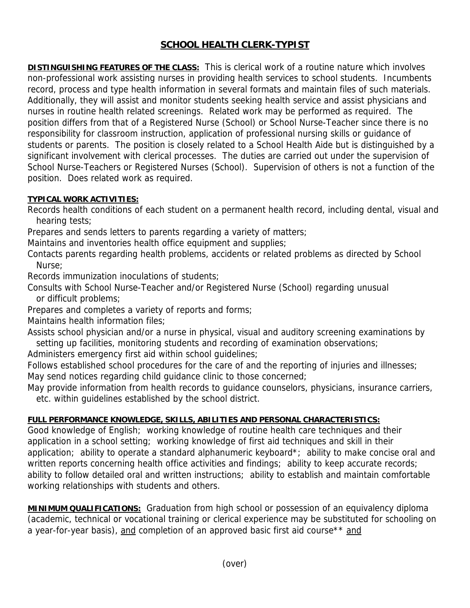## **SCHOOL HEALTH CLERK-TYPIST**

**DISTINGUISHING FEATURES OF THE CLASS:** This is clerical work of a routine nature which involves non-professional work assisting nurses in providing health services to school students. Incumbents record, process and type health information in several formats and maintain files of such materials. Additionally, they will assist and monitor students seeking health service and assist physicians and nurses in routine health related screenings. Related work may be performed as required. The position differs from that of a Registered Nurse (School) or School Nurse-Teacher since there is no responsibility for classroom instruction, application of professional nursing skills or guidance of students or parents. The position is closely related to a School Health Aide but is distinguished by a significant involvement with clerical processes. The duties are carried out under the supervision of School Nurse-Teachers or Registered Nurses (School). Supervision of others is not a function of the position. Does related work as required.

## **TYPICAL WORK ACTIVITIES:**

Records health conditions of each student on a permanent health record, including dental, visual and hearing tests;

Prepares and sends letters to parents regarding a variety of matters;

Maintains and inventories health office equipment and supplies;

Contacts parents regarding health problems, accidents or related problems as directed by School Nurse;

Records immunization inoculations of students;

Consults with School Nurse-Teacher and/or Registered Nurse (School) regarding unusual or difficult problems;

Prepares and completes a variety of reports and forms;

Maintains health information files;

Assists school physician and/or a nurse in physical, visual and auditory screening examinations by setting up facilities, monitoring students and recording of examination observations;

Administers emergency first aid within school guidelines;

Follows established school procedures for the care of and the reporting of injuries and illnesses; May send notices regarding child guidance clinic to those concerned;

May provide information from health records to guidance counselors, physicians, insurance carriers, etc. within guidelines established by the school district.

## **FULL PERFORMANCE KNOWLEDGE, SKILLS, ABILITIES AND PERSONAL CHARACTERISTICS:**

Good knowledge of English; working knowledge of routine health care techniques and their application in a school setting; working knowledge of first aid techniques and skill in their application; ability to operate a standard alphanumeric keyboard\*; ability to make concise oral and written reports concerning health office activities and findings; ability to keep accurate records; ability to follow detailed oral and written instructions; ability to establish and maintain comfortable working relationships with students and others.

**MINIMUM QUALIFICATIONS:** Graduation from high school or possession of an equivalency diploma (academic, technical or vocational training or clerical experience may be substituted for schooling on a year-for-year basis), and completion of an approved basic first aid course\*\* and